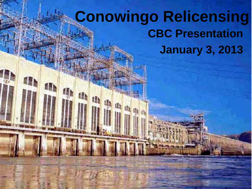### **Conowingo Relicensing CBC Presentation January 3, 2013**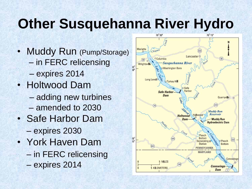## **Other Susquehanna River Hydro**

- Muddy Run (Pump/Storage) – in FERC relicensing – expires 2014
- Holtwood Dam
	- adding new turbines – amended to 2030
- Safe Harbor Dam – expires 2030
- York Haven Dam – in FERC relicensing – expires 2014

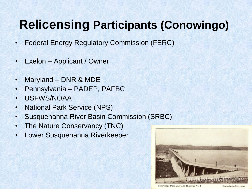### **Relicensing Participants (Conowingo)**

- Federal Energy Regulatory Commission (FERC)
- Exelon Applicant / Owner
- Maryland DNR & MDE
- Pennsylvania PADEP, PAFBC
- USFWS/NOAA
- National Park Service (NPS)
- Susquehanna River Basin Commission (SRBC)
- The Nature Conservancy (TNC)
- Lower Susquehanna Riverkeeper



Conowingo Dam and U.S. Highway No. 1

Conowingo, Maryland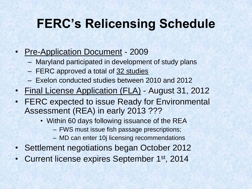### **FERC's Relicensing Schedule**

#### • Pre-Application Document - 2009

- Maryland participated in development of study plans
- FERC approved a total of 32 studies
- Exelon conducted studies between 2010 and 2012
- Final License Application (FLA) August 31, 2012
- FERC expected to issue Ready for Environmental Assessment (REA) in early 2013 ???
	- Within 60 days following issuance of the REA
		- FWS must issue fish passage prescriptions;
		- MD can enter 10j licensing recommendations
- Settlement negotiations began October 2012
- Current license expires September 1st, 2014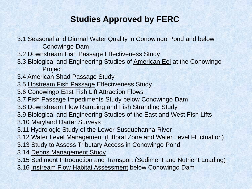#### **Studies Approved by FERC**

- 3.1 Seasonal and Diurnal Water Quality in Conowingo Pond and below Conowingo Dam
- 3.2 Downstream Fish Passage Effectiveness Study
- 3.3 Biological and Engineering Studies of American Eel at the Conowingo Project
- 3.4 American Shad Passage Study
- 3.5 Upstream Fish Passage Effectiveness Study
- 3.6 Conowingo East Fish Lift Attraction Flows
- 3.7 Fish Passage Impediments Study below Conowingo Dam
- 3.8 Downstream Flow Ramping and Fish Stranding Study
- 3.9 Biological and Engineering Studies of the East and West Fish Lifts
- 3.10 Maryland Darter Surveys
- 3.11 Hydrologic Study of the Lower Susquehanna River
- 3.12 Water Level Management (Littoral Zone and Water Level Fluctuation)
- 3.13 Study to Assess Tributary Access in Conowingo Pond
- 3.14 Debris Management Study
- 3.15 Sediment Introduction and Transport (Sediment and Nutrient Loading)
- 3.16 Instream Flow Habitat Assessment below Conowingo Dam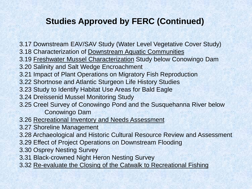#### **Studies Approved by FERC (Continued)**

3.17 Downstream EAV/SAV Study (Water Level Vegetative Cover Study)

- 3.18 Characterization of Downstream Aquatic Communities
- 3.19 Freshwater Mussel Characterization Study below Conowingo Dam
- 3.20 Salinity and Salt Wedge Encroachment
- 3.21 Impact of Plant Operations on Migratory Fish Reproduction
- 3.22 Shortnose and Atlantic Sturgeon Life History Studies
- 3.23 Study to Identify Habitat Use Areas for Bald Eagle
- 3.24 Dreissenid Mussel Monitoring Study
- 3.25 Creel Survey of Conowingo Pond and the Susquehanna River below Conowingo Dam
- 3.26 Recreational Inventory and Needs Assessment
- 3.27 Shoreline Management
- 3.28 Archaeological and Historic Cultural Resource Review and Assessment
- 3.29 Effect of Project Operations on Downstream Flooding
- 3.30 Osprey Nesting Survey
- 3.31 Black-crowned Night Heron Nesting Survey
- 3.32 Re-evaluate the Closing of the Catwalk to Recreational Fishing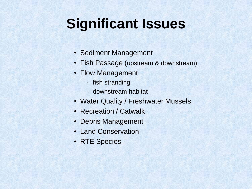### **Significant Issues**

- Sediment Management
- Fish Passage (upstream & downstream)
- Flow Management
	- fish stranding
	- downstream habitat
- Water Quality / Freshwater Mussels
- Recreation / Catwalk
- Debris Management
- Land Conservation
- RTE Species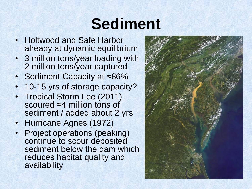## **Sediment**

- Holtwood and Safe Harbor already at dynamic equilibrium
- 3 million tons/year loading with 2 million tons/year captured
- Sediment Capacity at ≈86%
- 10-15 yrs of storage capacity?
- Tropical Storm Lee (2011) scoured ≈4 million tons of sediment / added about 2 yrs
- Hurricane Agnes (1972)
- Project operations (peaking) continue to scour deposited sediment below the dam which reduces habitat quality and availability

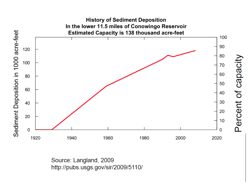

Source: Langland, 2009 http://pubs.usgs.gov/sir/2009/5110/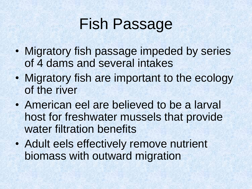# Fish Passage

- Migratory fish passage impeded by series of 4 dams and several intakes
- Migratory fish are important to the ecology of the river
- American eel are believed to be a larval host for freshwater mussels that provide water filtration benefits
- Adult eels effectively remove nutrient biomass with outward migration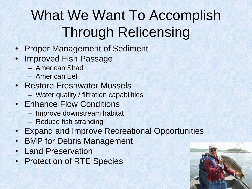# What We Want To Accomplish Through Relicensing

- Proper Management of Sediment
- Improved Fish Passage
	- American Shad
	- American Eel
- Restore Freshwater Mussels
	- Water quality / filtration capabilities
- Enhance Flow Conditions
	- Improve downstream habitat
	- Reduce fish stranding
- Expand and Improve Recreational Opportunities
- **BMP for Debris Management**
- Land Preservation
- Protection of RTE Species